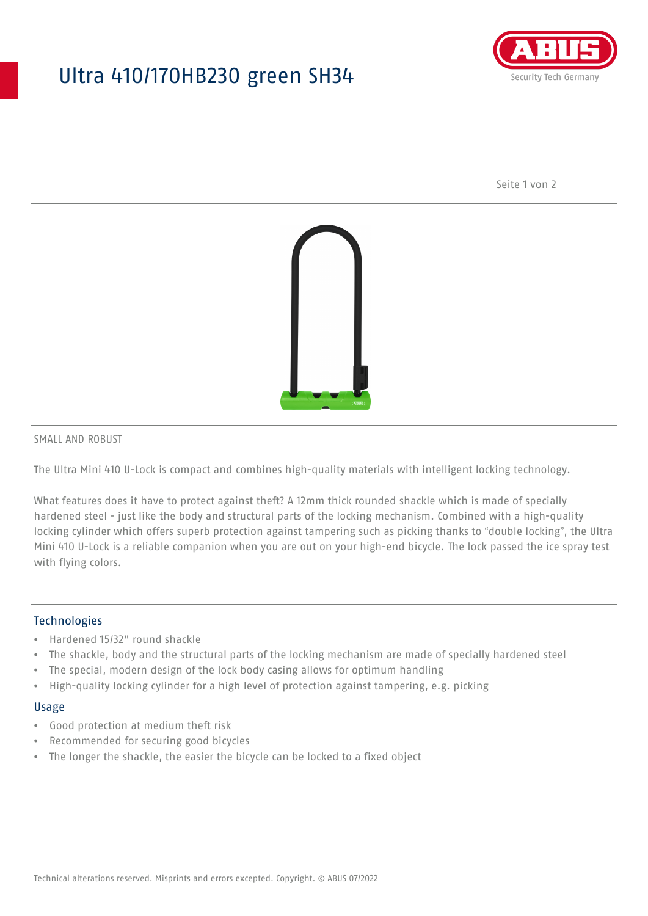## Ultra 410/170HB230 green SH34



Seite 1 von 2



#### SMALL AND ROBUST

The Ultra Mini 410 U-Lock is compact and combines high-quality materials with intelligent locking technology.

What features does it have to protect against theft? A 12mm thick rounded shackle which is made of specially hardened steel - just like the body and structural parts of the locking mechanism. Combined with a high-quality locking cylinder which offers superb protection against tampering such as picking thanks to "double locking", the Ultra Mini 410 U-Lock is a reliable companion when you are out on your high-end bicycle. The lock passed the ice spray test with flying colors.

### **Technologies**

- Hardened 15/32" round shackle
- The shackle, body and the structural parts of the locking mechanism are made of specially hardened steel
- The special, modern design of the lock body casing allows for optimum handling
- High-quality locking cylinder for a high level of protection against tampering, e.g. picking

#### Usage

- Good protection at medium theft risk
- Recommended for securing good bicycles
- The longer the shackle, the easier the bicycle can be locked to a fixed object